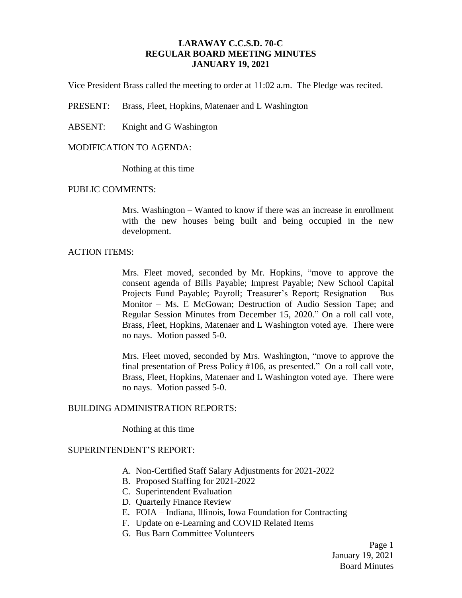# **LARAWAY C.C.S.D. 70-C REGULAR BOARD MEETING MINUTES JANUARY 19, 2021**

Vice President Brass called the meeting to order at 11:02 a.m. The Pledge was recited.

PRESENT: Brass, Fleet, Hopkins, Matenaer and L Washington

ABSENT: Knight and G Washington

### MODIFICATION TO AGENDA:

Nothing at this time

#### PUBLIC COMMENTS:

Mrs. Washington – Wanted to know if there was an increase in enrollment with the new houses being built and being occupied in the new development.

### ACTION ITEMS:

Mrs. Fleet moved, seconded by Mr. Hopkins, "move to approve the consent agenda of Bills Payable; Imprest Payable; New School Capital Projects Fund Payable; Payroll; Treasurer's Report; Resignation – Bus Monitor – Ms. E McGowan; Destruction of Audio Session Tape; and Regular Session Minutes from December 15, 2020." On a roll call vote, Brass, Fleet, Hopkins, Matenaer and L Washington voted aye. There were no nays. Motion passed 5-0.

Mrs. Fleet moved, seconded by Mrs. Washington, "move to approve the final presentation of Press Policy #106, as presented." On a roll call vote, Brass, Fleet, Hopkins, Matenaer and L Washington voted aye. There were no nays. Motion passed 5-0.

### BUILDING ADMINISTRATION REPORTS:

Nothing at this time

# SUPERINTENDENT'S REPORT:

- A. Non-Certified Staff Salary Adjustments for 2021-2022
- B. Proposed Staffing for 2021-2022
- C. Superintendent Evaluation
- D. Quarterly Finance Review
- E. FOIA Indiana, Illinois, Iowa Foundation for Contracting
- F. Update on e-Learning and COVID Related Items
- G. Bus Barn Committee Volunteers

Page 1 January 19, 2021 Board Minutes